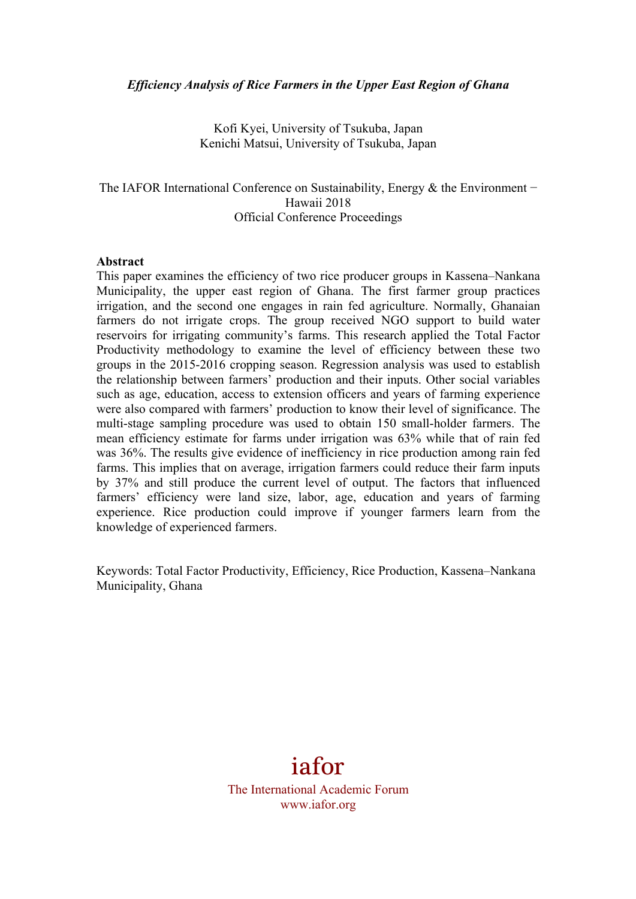## *Efficiency Analysis of Rice Farmers in the Upper East Region of Ghana*

Kofi Kyei, University of Tsukuba, Japan Kenichi Matsui, University of Tsukuba, Japan

# The IAFOR International Conference on Sustainability, Energy & the Environment – Hawaii 2018 Official Conference Proceedings

## **Abstract**

This paper examines the efficiency of two rice producer groups in Kassena–Nankana Municipality, the upper east region of Ghana. The first farmer group practices irrigation, and the second one engages in rain fed agriculture. Normally, Ghanaian farmers do not irrigate crops. The group received NGO support to build water reservoirs for irrigating community's farms. This research applied the Total Factor Productivity methodology to examine the level of efficiency between these two groups in the 2015-2016 cropping season. Regression analysis was used to establish the relationship between farmers' production and their inputs. Other social variables such as age, education, access to extension officers and years of farming experience were also compared with farmers' production to know their level of significance. The multi-stage sampling procedure was used to obtain 150 small-holder farmers. The mean efficiency estimate for farms under irrigation was 63% while that of rain fed was 36%. The results give evidence of inefficiency in rice production among rain fed farms. This implies that on average, irrigation farmers could reduce their farm inputs by 37% and still produce the current level of output. The factors that influenced farmers' efficiency were land size, labor, age, education and years of farming experience. Rice production could improve if younger farmers learn from the knowledge of experienced farmers.

Keywords: Total Factor Productivity, Efficiency, Rice Production, Kassena–Nankana Municipality, Ghana

# iafor

The International Academic Forum www.iafor.org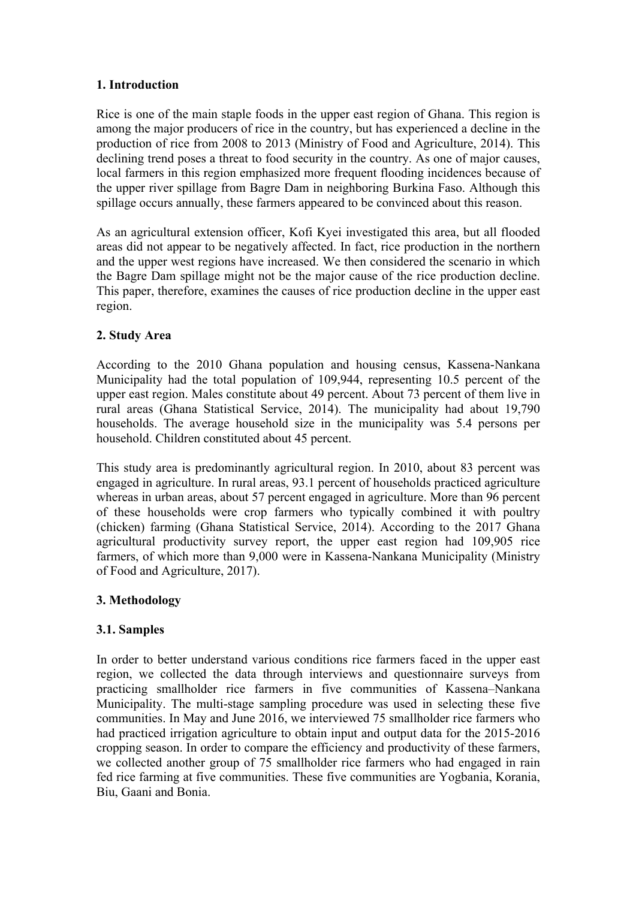# **1. Introduction**

Rice is one of the main staple foods in the upper east region of Ghana. This region is among the major producers of rice in the country, but has experienced a decline in the production of rice from 2008 to 2013 (Ministry of Food and Agriculture, 2014). This declining trend poses a threat to food security in the country. As one of major causes, local farmers in this region emphasized more frequent flooding incidences because of the upper river spillage from Bagre Dam in neighboring Burkina Faso. Although this spillage occurs annually, these farmers appeared to be convinced about this reason.

As an agricultural extension officer, Kofi Kyei investigated this area, but all flooded areas did not appear to be negatively affected. In fact, rice production in the northern and the upper west regions have increased. We then considered the scenario in which the Bagre Dam spillage might not be the major cause of the rice production decline. This paper, therefore, examines the causes of rice production decline in the upper east region.

# **2. Study Area**

According to the 2010 Ghana population and housing census, Kassena-Nankana Municipality had the total population of 109,944, representing 10.5 percent of the upper east region. Males constitute about 49 percent. About 73 percent of them live in rural areas (Ghana Statistical Service, 2014). The municipality had about 19,790 households. The average household size in the municipality was 5.4 persons per household. Children constituted about 45 percent.

This study area is predominantly agricultural region. In 2010, about 83 percent was engaged in agriculture. In rural areas, 93.1 percent of households practiced agriculture whereas in urban areas, about 57 percent engaged in agriculture. More than 96 percent of these households were crop farmers who typically combined it with poultry (chicken) farming (Ghana Statistical Service, 2014). According to the 2017 Ghana agricultural productivity survey report, the upper east region had 109,905 rice farmers, of which more than 9,000 were in Kassena-Nankana Municipality (Ministry of Food and Agriculture, 2017).

## **3. Methodology**

# **3.1. Samples**

In order to better understand various conditions rice farmers faced in the upper east region, we collected the data through interviews and questionnaire surveys from practicing smallholder rice farmers in five communities of Kassena–Nankana Municipality. The multi-stage sampling procedure was used in selecting these five communities. In May and June 2016, we interviewed 75 smallholder rice farmers who had practiced irrigation agriculture to obtain input and output data for the 2015-2016 cropping season. In order to compare the efficiency and productivity of these farmers, we collected another group of 75 smallholder rice farmers who had engaged in rain fed rice farming at five communities. These five communities are Yogbania, Korania, Biu, Gaani and Bonia.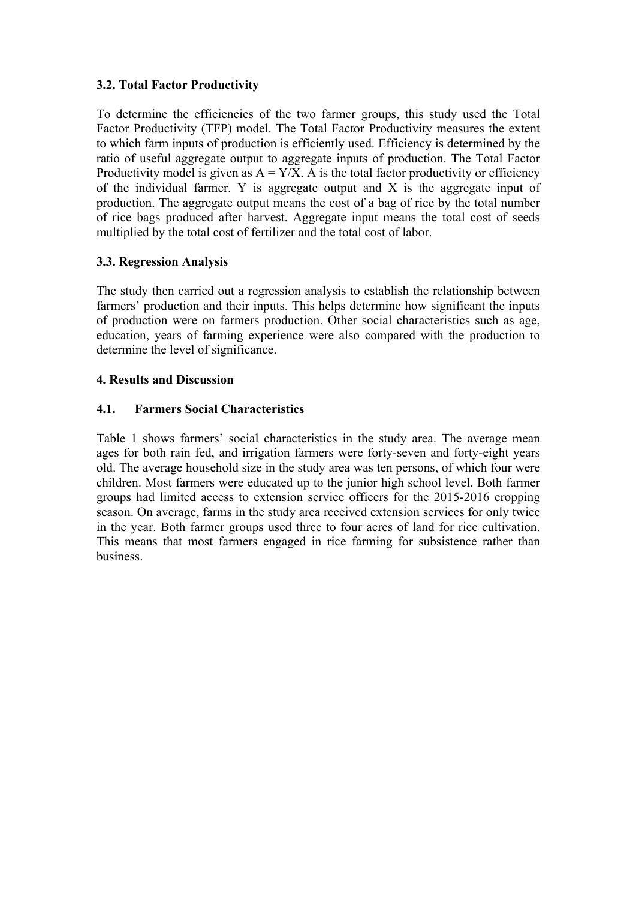# **3.2. Total Factor Productivity**

To determine the efficiencies of the two farmer groups, this study used the Total Factor Productivity (TFP) model. The Total Factor Productivity measures the extent to which farm inputs of production is efficiently used. Efficiency is determined by the ratio of useful aggregate output to aggregate inputs of production. The Total Factor Productivity model is given as  $A = Y/X$ . A is the total factor productivity or efficiency of the individual farmer. Y is aggregate output and X is the aggregate input of production. The aggregate output means the cost of a bag of rice by the total number of rice bags produced after harvest. Aggregate input means the total cost of seeds multiplied by the total cost of fertilizer and the total cost of labor.

# **3.3. Regression Analysis**

The study then carried out a regression analysis to establish the relationship between farmers' production and their inputs. This helps determine how significant the inputs of production were on farmers production. Other social characteristics such as age, education, years of farming experience were also compared with the production to determine the level of significance.

# **4. Results and Discussion**

# **4.1. Farmers Social Characteristics**

Table 1 shows farmers' social characteristics in the study area. The average mean ages for both rain fed, and irrigation farmers were forty-seven and forty-eight years old. The average household size in the study area was ten persons, of which four were children. Most farmers were educated up to the junior high school level. Both farmer groups had limited access to extension service officers for the 2015-2016 cropping season. On average, farms in the study area received extension services for only twice in the year. Both farmer groups used three to four acres of land for rice cultivation. This means that most farmers engaged in rice farming for subsistence rather than business.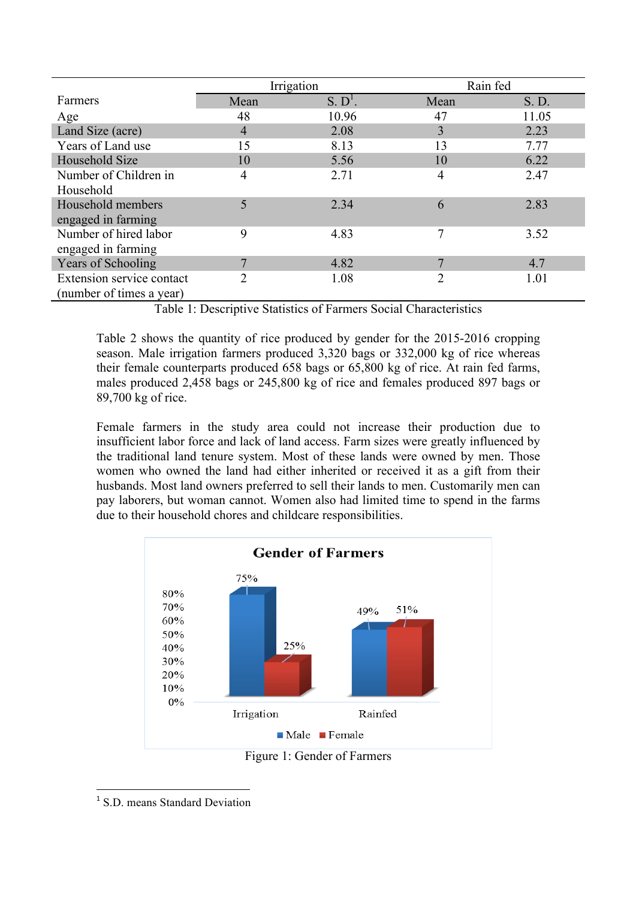|                           | Irrigation     |                     | Rain fed       |       |
|---------------------------|----------------|---------------------|----------------|-------|
| Farmers                   | Mean           | S. D <sup>1</sup> . | Mean           | S. D. |
| Age                       | 48             | 10.96               | 47             | 11.05 |
| Land Size (acre)          | $\overline{4}$ | 2.08                | 3              | 2.23  |
| Years of Land use         | 15             | 8.13                | 13             | 7.77  |
| Household Size            | 10             | 5.56                | 10             | 6.22  |
| Number of Children in     | 4              | 2.71                | 4              | 2.47  |
| Household                 |                |                     |                |       |
| Household members         | 5              | 2.34                | 6              | 2.83  |
| engaged in farming        |                |                     |                |       |
| Number of hired labor     | 9              | 4.83                | 7              | 3.52  |
| engaged in farming        |                |                     |                |       |
| <b>Years of Schooling</b> | 7              | 4.82                | 7              | 4.7   |
| Extension service contact | 2              | 1.08                | $\overline{2}$ | 1.01  |
| (number of times a year)  |                |                     |                |       |

Table 1: Descriptive Statistics of Farmers Social Characteristics

Table 2 shows the quantity of rice produced by gender for the 2015-2016 cropping season. Male irrigation farmers produced 3,320 bags or 332,000 kg of rice whereas their female counterparts produced 658 bags or 65,800 kg of rice. At rain fed farms, males produced 2,458 bags or 245,800 kg of rice and females produced 897 bags or 89,700 kg of rice.

Female farmers in the study area could not increase their production due to insufficient labor force and lack of land access. Farm sizes were greatly influenced by the traditional land tenure system. Most of these lands were owned by men. Those women who owned the land had either inherited or received it as a gift from their husbands. Most land owners preferred to sell their lands to men. Customarily men can pay laborers, but woman cannot. Women also had limited time to spend in the farms due to their household chores and childcare responsibilities.



 <sup>1</sup> S.D. means Standard Deviation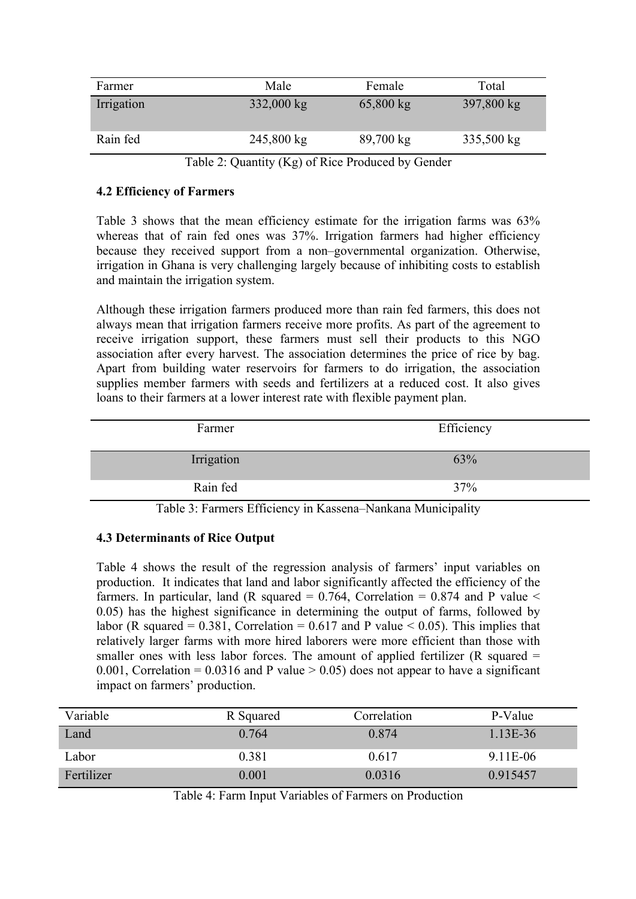| Farmer     | Male                 | Female              | Total      |
|------------|----------------------|---------------------|------------|
| Irrigation | $332,000 \text{ kg}$ | $65,800 \text{ kg}$ | 397,800 kg |
| Rain fed   | $245,800 \text{ kg}$ | $89,700 \text{ kg}$ | 335,500 kg |

Table 2: Quantity (Kg) of Rice Produced by Gender

# **4.2 Efficiency of Farmers**

Table 3 shows that the mean efficiency estimate for the irrigation farms was 63% whereas that of rain fed ones was  $37%$ . Irrigation farmers had higher efficiency because they received support from a non–governmental organization. Otherwise, irrigation in Ghana is very challenging largely because of inhibiting costs to establish and maintain the irrigation system.

Although these irrigation farmers produced more than rain fed farmers, this does not always mean that irrigation farmers receive more profits. As part of the agreement to receive irrigation support, these farmers must sell their products to this NGO association after every harvest. The association determines the price of rice by bag. Apart from building water reservoirs for farmers to do irrigation, the association supplies member farmers with seeds and fertilizers at a reduced cost. It also gives loans to their farmers at a lower interest rate with flexible payment plan.

| Efficiency |
|------------|
| 63%        |
| 37%        |
|            |

Table 3: Farmers Efficiency in Kassena–Nankana Municipality

# **4.3 Determinants of Rice Output**

Table 4 shows the result of the regression analysis of farmers' input variables on production. It indicates that land and labor significantly affected the efficiency of the farmers. In particular, land (R squared =  $0.764$ , Correlation =  $0.874$  and P value < 0.05) has the highest significance in determining the output of farms, followed by labor (R squared =  $0.381$ , Correlation =  $0.617$  and P value < 0.05). This implies that relatively larger farms with more hired laborers were more efficient than those with smaller ones with less labor forces. The amount of applied fertilizer ( $R$  squared  $=$ 0.001, Correlation =  $0.0316$  and P value  $> 0.05$ ) does not appear to have a significant impact on farmers' production.

| Variable   | R Squared | Correlation | P-Value    |
|------------|-----------|-------------|------------|
| Land       | 0.764     | 0.874       | $1.13E-36$ |
| Labor      | 0.381     | 0.617       | 9.11E-06   |
| Fertilizer | 0.001     | 0.0316      | 0.915457   |

Table 4: Farm Input Variables of Farmers on Production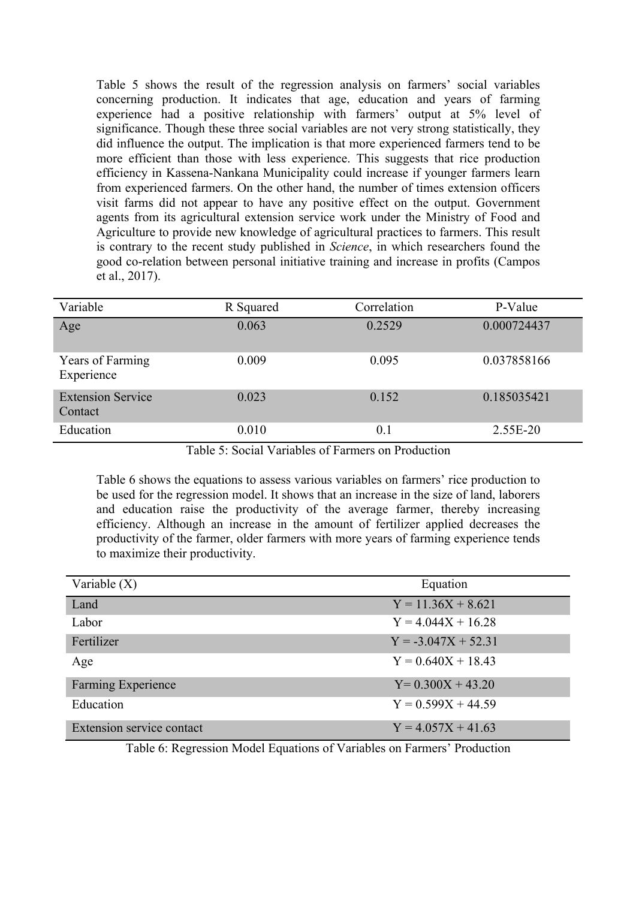Table 5 shows the result of the regression analysis on farmers' social variables concerning production. It indicates that age, education and years of farming experience had a positive relationship with farmers' output at 5% level of significance. Though these three social variables are not very strong statistically, they did influence the output. The implication is that more experienced farmers tend to be more efficient than those with less experience. This suggests that rice production efficiency in Kassena-Nankana Municipality could increase if younger farmers learn from experienced farmers. On the other hand, the number of times extension officers visit farms did not appear to have any positive effect on the output. Government agents from its agricultural extension service work under the Ministry of Food and Agriculture to provide new knowledge of agricultural practices to farmers. This result is contrary to the recent study published in *Science*, in which researchers found the good co-relation between personal initiative training and increase in profits (Campos et al., 2017).

| Variable                            | R Squared | Correlation | P-Value     |
|-------------------------------------|-----------|-------------|-------------|
| Age                                 | 0.063     | 0.2529      | 0.000724437 |
| Years of Farming<br>Experience      | 0.009     | 0.095       | 0.037858166 |
| <b>Extension Service</b><br>Contact | 0.023     | 0.152       | 0.185035421 |
| Education                           | 0.010     | 0.1         | 2.55E-20    |

Table 5: Social Variables of Farmers on Production

Table 6 shows the equations to assess various variables on farmers' rice production to be used for the regression model. It shows that an increase in the size of land, laborers and education raise the productivity of the average farmer, thereby increasing efficiency. Although an increase in the amount of fertilizer applied decreases the productivity of the farmer, older farmers with more years of farming experience tends to maximize their productivity.

| Variable $(X)$            | Equation              |
|---------------------------|-----------------------|
| Land                      | $Y = 11.36X + 8.621$  |
| Labor                     | $Y = 4.044X + 16.28$  |
| Fertilizer                | $Y = -3.047X + 52.31$ |
| Age                       | $Y = 0.640X + 18.43$  |
| <b>Farming Experience</b> | $Y=0.300X+43.20$      |
| Education                 | $Y = 0.599X + 44.59$  |
| Extension service contact | $Y = 4.057X + 41.63$  |

Table 6: Regression Model Equations of Variables on Farmers' Production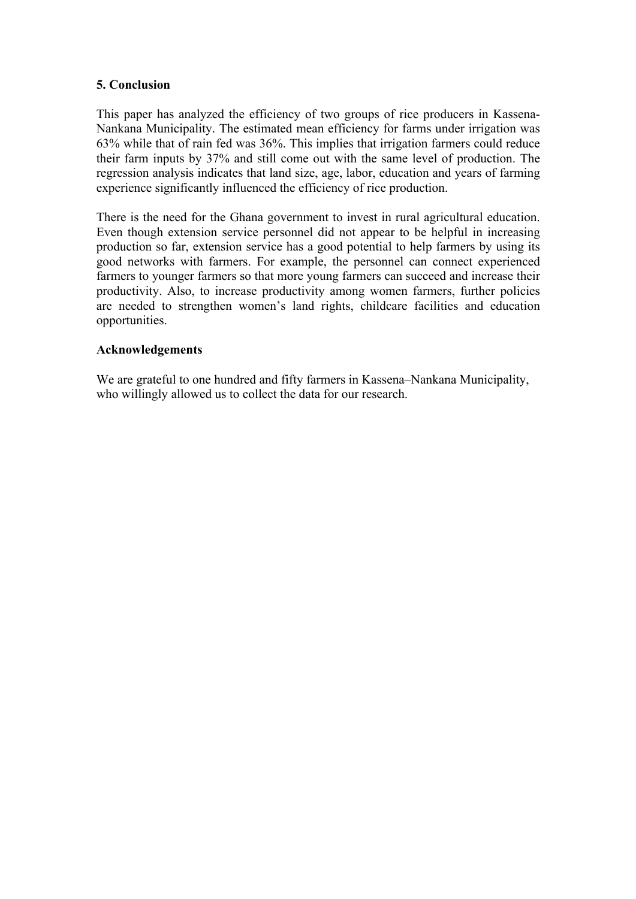# **5. Conclusion**

This paper has analyzed the efficiency of two groups of rice producers in Kassena-Nankana Municipality. The estimated mean efficiency for farms under irrigation was 63% while that of rain fed was 36%. This implies that irrigation farmers could reduce their farm inputs by 37% and still come out with the same level of production. The regression analysis indicates that land size, age, labor, education and years of farming experience significantly influenced the efficiency of rice production.

There is the need for the Ghana government to invest in rural agricultural education. Even though extension service personnel did not appear to be helpful in increasing production so far, extension service has a good potential to help farmers by using its good networks with farmers. For example, the personnel can connect experienced farmers to younger farmers so that more young farmers can succeed and increase their productivity. Also, to increase productivity among women farmers, further policies are needed to strengthen women's land rights, childcare facilities and education opportunities.

## **Acknowledgements**

We are grateful to one hundred and fifty farmers in Kassena–Nankana Municipality, who willingly allowed us to collect the data for our research.